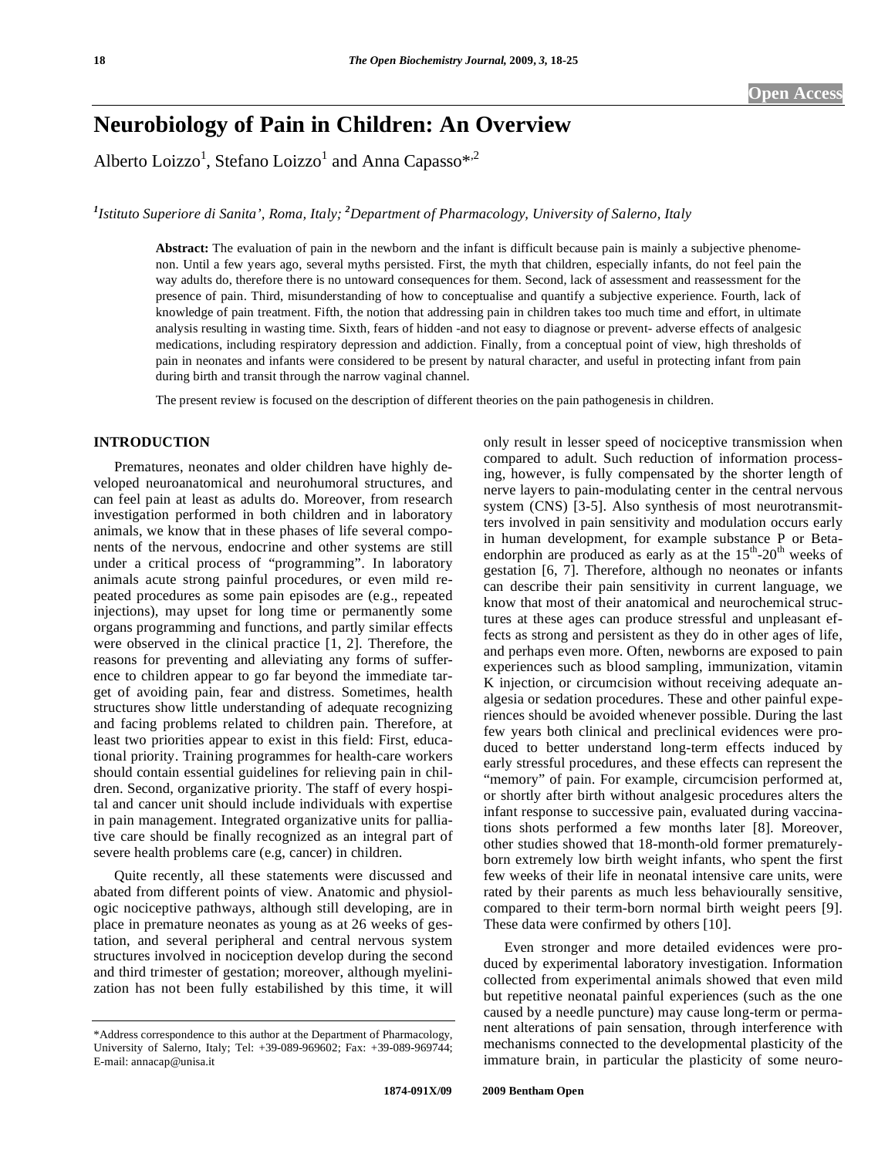# **Neurobiology of Pain in Children: An Overview**

Alberto Loizzo<sup>1</sup>, Stefano Loizzo<sup>1</sup> and Anna Capasso<sup>\*,2</sup>

*1 Istituto Superiore di Sanita', Roma, Italy; <sup>2</sup> Department of Pharmacology, University of Salerno, Italy* 

**Abstract:** The evaluation of pain in the newborn and the infant is difficult because pain is mainly a subjective phenomenon. Until a few years ago, several myths persisted. First, the myth that children, especially infants, do not feel pain the way adults do, therefore there is no untoward consequences for them. Second, lack of assessment and reassessment for the presence of pain. Third, misunderstanding of how to conceptualise and quantify a subjective experience. Fourth, lack of knowledge of pain treatment. Fifth, the notion that addressing pain in children takes too much time and effort, in ultimate analysis resulting in wasting time. Sixth, fears of hidden -and not easy to diagnose or prevent- adverse effects of analgesic medications, including respiratory depression and addiction. Finally, from a conceptual point of view, high thresholds of pain in neonates and infants were considered to be present by natural character, and useful in protecting infant from pain during birth and transit through the narrow vaginal channel.

The present review is focused on the description of different theories on the pain pathogenesis in children.

## **INTRODUCTION**

 Prematures, neonates and older children have highly developed neuroanatomical and neurohumoral structures, and can feel pain at least as adults do. Moreover, from research investigation performed in both children and in laboratory animals, we know that in these phases of life several components of the nervous, endocrine and other systems are still under a critical process of "programming". In laboratory animals acute strong painful procedures, or even mild repeated procedures as some pain episodes are (e.g., repeated injections), may upset for long time or permanently some organs programming and functions, and partly similar effects were observed in the clinical practice [1, 2]. Therefore, the reasons for preventing and alleviating any forms of sufference to children appear to go far beyond the immediate target of avoiding pain, fear and distress. Sometimes, health structures show little understanding of adequate recognizing and facing problems related to children pain. Therefore, at least two priorities appear to exist in this field: First, educational priority. Training programmes for health-care workers should contain essential guidelines for relieving pain in children. Second, organizative priority. The staff of every hospital and cancer unit should include individuals with expertise in pain management. Integrated organizative units for palliative care should be finally recognized as an integral part of severe health problems care (e.g, cancer) in children.

 Quite recently, all these statements were discussed and abated from different points of view. Anatomic and physiologic nociceptive pathways, although still developing, are in place in premature neonates as young as at 26 weeks of gestation, and several peripheral and central nervous system structures involved in nociception develop during the second and third trimester of gestation; moreover, although myelinization has not been fully estabilished by this time, it will

only result in lesser speed of nociceptive transmission when compared to adult. Such reduction of information processing, however, is fully compensated by the shorter length of nerve layers to pain-modulating center in the central nervous system (CNS) [3-5]. Also synthesis of most neurotransmitters involved in pain sensitivity and modulation occurs early in human development, for example substance P or Betaendorphin are produced as early as at the  $15<sup>th</sup>$ -20<sup>th</sup> weeks of gestation [6, 7]. Therefore, although no neonates or infants can describe their pain sensitivity in current language, we know that most of their anatomical and neurochemical structures at these ages can produce stressful and unpleasant effects as strong and persistent as they do in other ages of life, and perhaps even more. Often, newborns are exposed to pain experiences such as blood sampling, immunization, vitamin K injection, or circumcision without receiving adequate analgesia or sedation procedures. These and other painful experiences should be avoided whenever possible. During the last few years both clinical and preclinical evidences were produced to better understand long-term effects induced by early stressful procedures, and these effects can represent the "memory" of pain. For example, circumcision performed at, or shortly after birth without analgesic procedures alters the infant response to successive pain, evaluated during vaccinations shots performed a few months later [8]. Moreover, other studies showed that 18-month-old former prematurelyborn extremely low birth weight infants, who spent the first few weeks of their life in neonatal intensive care units, were rated by their parents as much less behaviourally sensitive, compared to their term-born normal birth weight peers [9]. These data were confirmed by others [10].

 Even stronger and more detailed evidences were produced by experimental laboratory investigation. Information collected from experimental animals showed that even mild but repetitive neonatal painful experiences (such as the one caused by a needle puncture) may cause long-term or permanent alterations of pain sensation, through interference with mechanisms connected to the developmental plasticity of the immature brain, in particular the plasticity of some neuro-

<sup>\*</sup>Address correspondence to this author at the Department of Pharmacology, University of Salerno, Italy; Tel: +39-089-969602; Fax: +39-089-969744; E-mail: annacap@unisa.it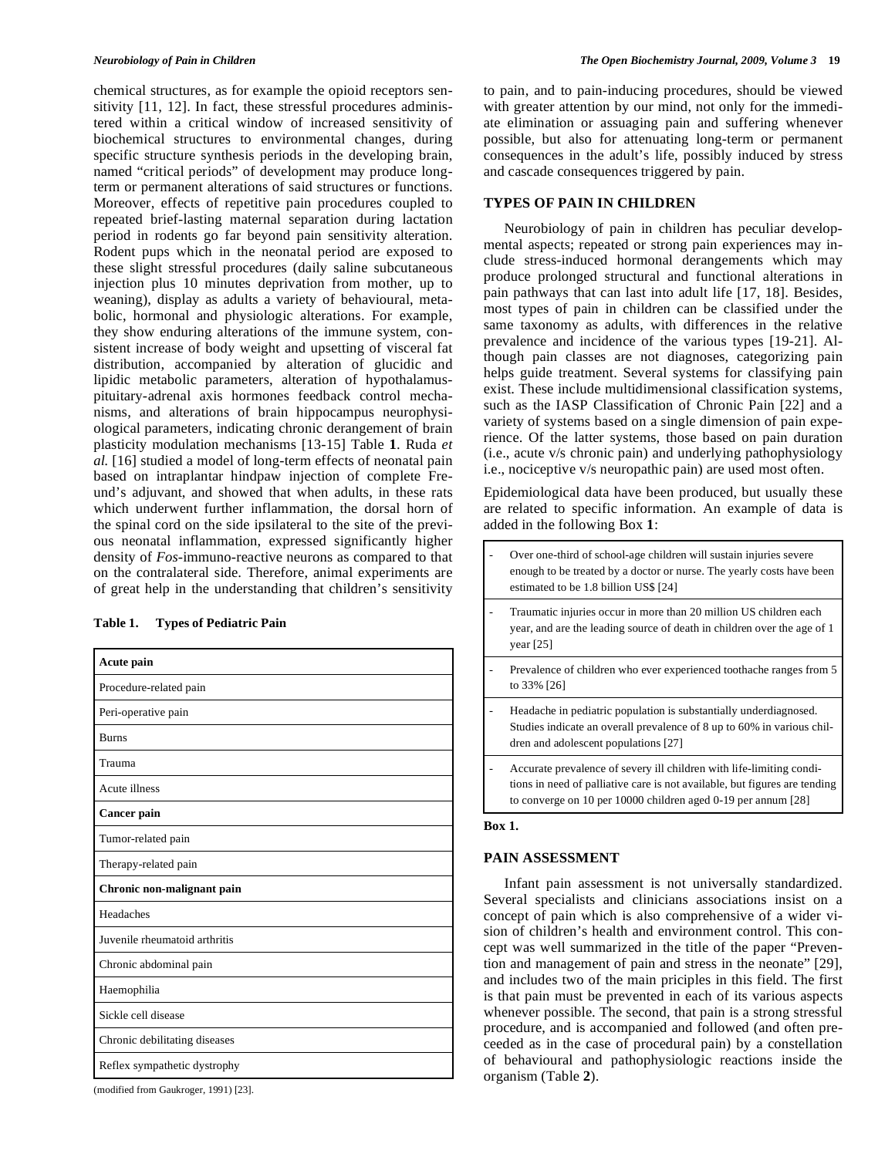chemical structures, as for example the opioid receptors sensitivity [11, 12]. In fact, these stressful procedures administered within a critical window of increased sensitivity of biochemical structures to environmental changes, during specific structure synthesis periods in the developing brain, named "critical periods" of development may produce longterm or permanent alterations of said structures or functions. Moreover, effects of repetitive pain procedures coupled to repeated brief-lasting maternal separation during lactation period in rodents go far beyond pain sensitivity alteration. Rodent pups which in the neonatal period are exposed to these slight stressful procedures (daily saline subcutaneous injection plus 10 minutes deprivation from mother, up to weaning), display as adults a variety of behavioural, metabolic, hormonal and physiologic alterations. For example, they show enduring alterations of the immune system, consistent increase of body weight and upsetting of visceral fat distribution, accompanied by alteration of glucidic and lipidic metabolic parameters, alteration of hypothalamuspituitary-adrenal axis hormones feedback control mechanisms, and alterations of brain hippocampus neurophysiological parameters, indicating chronic derangement of brain plasticity modulation mechanisms [13-15] Table **1**. Ruda *et al.* [16] studied a model of long-term effects of neonatal pain based on intraplantar hindpaw injection of complete Freund's adjuvant, and showed that when adults, in these rats which underwent further inflammation, the dorsal horn of the spinal cord on the side ipsilateral to the site of the previous neonatal inflammation, expressed significantly higher density of *Fos*-immuno-reactive neurons as compared to that on the contralateral side. Therefore, animal experiments are of great help in the understanding that children's sensitivity

| Acute pain                            |
|---------------------------------------|
| Procedure-related pain                |
| Peri-operative pain                   |
| <b>Burns</b>                          |
| Trauma                                |
| Acute illness                         |
| Cancer pain                           |
| Tumor-related pain                    |
| Therapy-related pain                  |
| Chronic non-malignant pain            |
| Headaches                             |
| Juvenile rheumatoid arthritis         |
| Chronic abdominal pain                |
| Haemophilia                           |
| Sickle cell disease                   |
| Chronic debilitating diseases         |
| Reflex sympathetic dystrophy          |
| (modified from Gaukroger, 1991) [23]. |

# **Table 1. Types of Pediatric Pain**

to pain, and to pain-inducing procedures, should be viewed with greater attention by our mind, not only for the immediate elimination or assuaging pain and suffering whenever possible, but also for attenuating long-term or permanent consequences in the adult's life, possibly induced by stress and cascade consequences triggered by pain.

# **TYPES OF PAIN IN CHILDREN**

 Neurobiology of pain in children has peculiar developmental aspects; repeated or strong pain experiences may include stress-induced hormonal derangements which may produce prolonged structural and functional alterations in pain pathways that can last into adult life [17, 18]. Besides, most types of pain in children can be classified under the same taxonomy as adults, with differences in the relative prevalence and incidence of the various types [19-21]. Although pain classes are not diagnoses, categorizing pain helps guide treatment. Several systems for classifying pain exist. These include multidimensional classification systems, such as the IASP Classification of Chronic Pain [22] and a variety of systems based on a single dimension of pain experience. Of the latter systems, those based on pain duration (i.e., acute v/s chronic pain) and underlying pathophysiology i.e., nociceptive v/s neuropathic pain) are used most often.

Epidemiological data have been produced, but usually these are related to specific information. An example of data is added in the following Box **1**:

| Over one-third of school-age children will sustain injuries severe<br>enough to be treated by a doctor or nurse. The yearly costs have been<br>estimated to be 1.8 billion US\$ [24]                                |
|---------------------------------------------------------------------------------------------------------------------------------------------------------------------------------------------------------------------|
| Traumatic injuries occur in more than 20 million US children each<br>year, and are the leading source of death in children over the age of 1<br>year $[25]$                                                         |
| Prevalence of children who ever experienced toothache ranges from 5<br>to 33% [26]                                                                                                                                  |
| Headache in pediatric population is substantially underdiagnosed.<br>Studies indicate an overall prevalence of 8 up to 60% in various chil-<br>dren and adolescent populations [27]                                 |
| Accurate prevalence of severy ill children with life-limiting condi-<br>tions in need of palliative care is not available, but figures are tending<br>to converge on 10 per 10000 children aged 0-19 per annum [28] |

### **Box 1.**

## **PAIN ASSESSMENT**

 Infant pain assessment is not universally standardized. Several specialists and clinicians associations insist on a concept of pain which is also comprehensive of a wider vision of children's health and environment control. This concept was well summarized in the title of the paper "Prevention and management of pain and stress in the neonate" [29], and includes two of the main priciples in this field. The first is that pain must be prevented in each of its various aspects whenever possible. The second, that pain is a strong stressful procedure, and is accompanied and followed (and often preceeded as in the case of procedural pain) by a constellation of behavioural and pathophysiologic reactions inside the organism (Table **2**).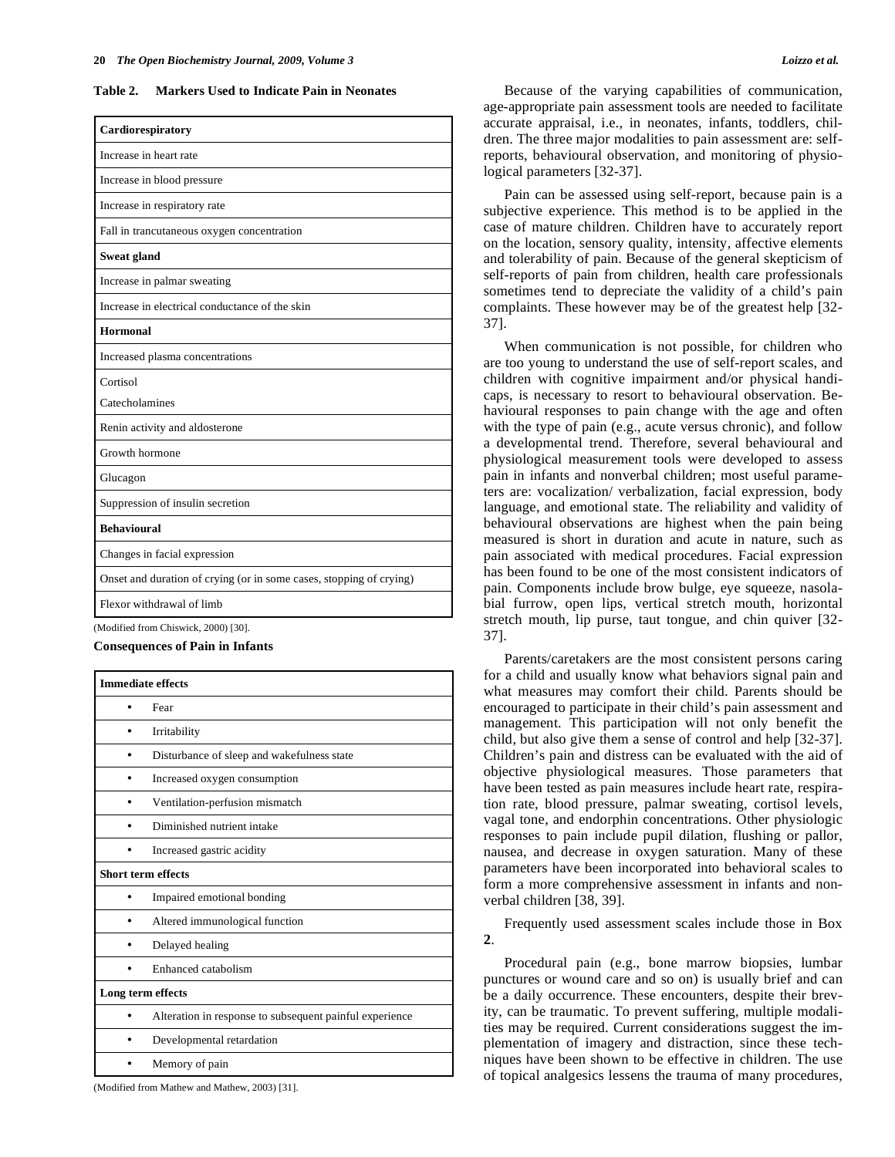#### **Table 2. Markers Used to Indicate Pain in Neonates**

| Cardiorespiratory                                                   |
|---------------------------------------------------------------------|
| Increase in heart rate                                              |
| Increase in blood pressure                                          |
| Increase in respiratory rate                                        |
| Fall in trancutaneous oxygen concentration                          |
| <b>Sweat gland</b>                                                  |
| Increase in palmar sweating                                         |
| Increase in electrical conductance of the skin                      |
| Hormonal                                                            |
| Increased plasma concentrations                                     |
| Cortisol                                                            |
| Catecholamines                                                      |
| Renin activity and aldosterone                                      |
| Growth hormone                                                      |
| Glucagon                                                            |
| Suppression of insulin secretion                                    |
| <b>Behavioural</b>                                                  |
| Changes in facial expression                                        |
| Onset and duration of crying (or in some cases, stopping of crying) |
| Flexor withdrawal of limb                                           |

(Modified from Chiswick, 2000) [30].

**Consequences of Pain in Infants** 

**Immediate effects**  • Fear • Irritability • Disturbance of sleep and wakefulness state • Increased oxygen consumption • Ventilation-perfusion mismatch • Diminished nutrient intake • Increased gastric acidity **Short term effects**  • Impaired emotional bonding • Altered immunological function • Delayed healing • Enhanced catabolism **Long term effects**  • Alteration in response to subsequent painful experience • Developmental retardation Memory of pain

(Modified from Mathew and Mathew, 2003) [31].

 Because of the varying capabilities of communication, age-appropriate pain assessment tools are needed to facilitate accurate appraisal, i.e., in neonates, infants, toddlers, children. The three major modalities to pain assessment are: selfreports, behavioural observation, and monitoring of physiological parameters [32-37].

 Pain can be assessed using self-report, because pain is a subjective experience. This method is to be applied in the case of mature children. Children have to accurately report on the location, sensory quality, intensity, affective elements and tolerability of pain. Because of the general skepticism of self-reports of pain from children, health care professionals sometimes tend to depreciate the validity of a child's pain complaints. These however may be of the greatest help [32- 37].

 When communication is not possible, for children who are too young to understand the use of self-report scales, and children with cognitive impairment and/or physical handicaps, is necessary to resort to behavioural observation. Behavioural responses to pain change with the age and often with the type of pain (e.g., acute versus chronic), and follow a developmental trend. Therefore, several behavioural and physiological measurement tools were developed to assess pain in infants and nonverbal children; most useful parameters are: vocalization/ verbalization, facial expression, body language, and emotional state. The reliability and validity of behavioural observations are highest when the pain being measured is short in duration and acute in nature, such as pain associated with medical procedures. Facial expression has been found to be one of the most consistent indicators of pain. Components include brow bulge, eye squeeze, nasolabial furrow, open lips, vertical stretch mouth, horizontal stretch mouth, lip purse, taut tongue, and chin quiver [32- 37].

 Parents/caretakers are the most consistent persons caring for a child and usually know what behaviors signal pain and what measures may comfort their child. Parents should be encouraged to participate in their child's pain assessment and management. This participation will not only benefit the child, but also give them a sense of control and help [32-37]. Children's pain and distress can be evaluated with the aid of objective physiological measures. Those parameters that have been tested as pain measures include heart rate, respiration rate, blood pressure, palmar sweating, cortisol levels, vagal tone, and endorphin concentrations. Other physiologic responses to pain include pupil dilation, flushing or pallor, nausea, and decrease in oxygen saturation. Many of these parameters have been incorporated into behavioral scales to form a more comprehensive assessment in infants and nonverbal children [38, 39].

 Frequently used assessment scales include those in Box **2**.

 Procedural pain (e.g., bone marrow biopsies, lumbar punctures or wound care and so on) is usually brief and can be a daily occurrence. These encounters, despite their brevity, can be traumatic. To prevent suffering, multiple modalities may be required. Current considerations suggest the implementation of imagery and distraction, since these techniques have been shown to be effective in children. The use of topical analgesics lessens the trauma of many procedures,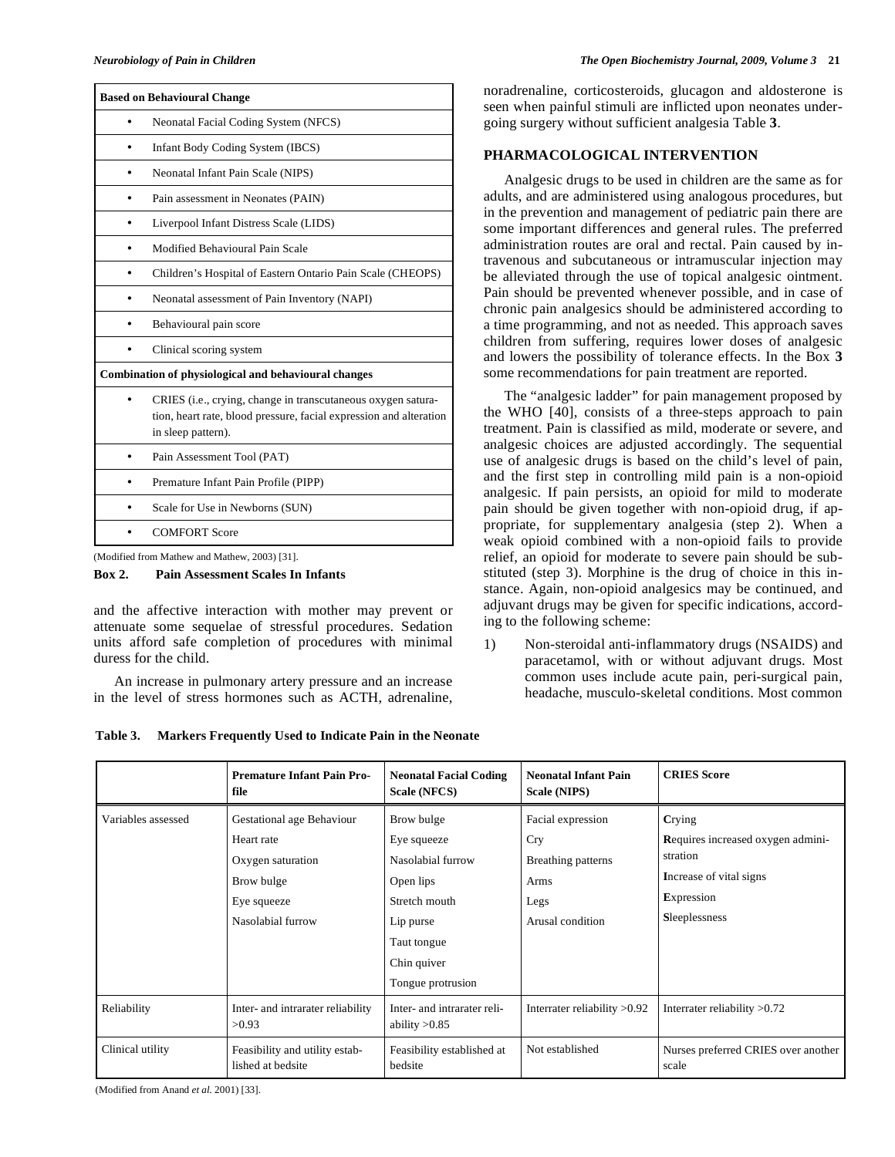| <b>Based on Behavioural Change</b>                          |                                                                                                                                                                   |  |  |  |
|-------------------------------------------------------------|-------------------------------------------------------------------------------------------------------------------------------------------------------------------|--|--|--|
|                                                             | Neonatal Facial Coding System (NFCS)                                                                                                                              |  |  |  |
|                                                             | Infant Body Coding System (IBCS)                                                                                                                                  |  |  |  |
|                                                             | Neonatal Infant Pain Scale (NIPS)                                                                                                                                 |  |  |  |
|                                                             | Pain assessment in Neonates (PAIN)                                                                                                                                |  |  |  |
|                                                             | Liverpool Infant Distress Scale (LIDS)                                                                                                                            |  |  |  |
|                                                             | Modified Behavioural Pain Scale                                                                                                                                   |  |  |  |
|                                                             | Children's Hospital of Eastern Ontario Pain Scale (CHEOPS)                                                                                                        |  |  |  |
|                                                             | Neonatal assessment of Pain Inventory (NAPI)                                                                                                                      |  |  |  |
|                                                             | Behavioural pain score                                                                                                                                            |  |  |  |
|                                                             | Clinical scoring system                                                                                                                                           |  |  |  |
| <b>Combination of physiological and behavioural changes</b> |                                                                                                                                                                   |  |  |  |
|                                                             | CRIES ( <i>i.e.</i> , crying, change in transcutaneous oxygen satura-<br>tion, heart rate, blood pressure, facial expression and alteration<br>in sleep pattern). |  |  |  |
|                                                             | Pain Assessment Tool (PAT)                                                                                                                                        |  |  |  |
|                                                             | Premature Infant Pain Profile (PIPP)                                                                                                                              |  |  |  |
|                                                             | Scale for Use in Newborns (SUN)                                                                                                                                   |  |  |  |
|                                                             | <b>COMFORT Score</b>                                                                                                                                              |  |  |  |

(Modified from Mathew and Mathew, 2003) [31].

**Box 2. Pain Assessment Scales In Infants** 

and the affective interaction with mother may prevent or attenuate some sequelae of stressful procedures. Sedation units afford safe completion of procedures with minimal duress for the child.

 An increase in pulmonary artery pressure and an increase in the level of stress hormones such as ACTH, adrenaline,

*Neurobiology of Pain in Children The Open Biochemistry Journal, 2009, Volume 3* **21**

noradrenaline, corticosteroids, glucagon and aldosterone is seen when painful stimuli are inflicted upon neonates undergoing surgery without sufficient analgesia Table **3**.

## **PHARMACOLOGICAL INTERVENTION**

 Analgesic drugs to be used in children are the same as for adults, and are administered using analogous procedures, but in the prevention and management of pediatric pain there are some important differences and general rules. The preferred administration routes are oral and rectal. Pain caused by intravenous and subcutaneous or intramuscular injection may be alleviated through the use of topical analgesic ointment. Pain should be prevented whenever possible, and in case of chronic pain analgesics should be administered according to a time programming, and not as needed. This approach saves children from suffering, requires lower doses of analgesic and lowers the possibility of tolerance effects. In the Box **3** some recommendations for pain treatment are reported.

 The "analgesic ladder" for pain management proposed by the WHO [40], consists of a three-steps approach to pain treatment. Pain is classified as mild, moderate or severe, and analgesic choices are adjusted accordingly. The sequential use of analgesic drugs is based on the child's level of pain, and the first step in controlling mild pain is a non-opioid analgesic. If pain persists, an opioid for mild to moderate pain should be given together with non-opioid drug, if appropriate, for supplementary analgesia (step 2). When a weak opioid combined with a non-opioid fails to provide relief, an opioid for moderate to severe pain should be substituted (step 3). Morphine is the drug of choice in this instance. Again, non-opioid analgesics may be continued, and adjuvant drugs may be given for specific indications, according to the following scheme:

1) Non-steroidal anti-inflammatory drugs (NSAIDS) and paracetamol, with or without adjuvant drugs. Most common uses include acute pain, peri-surgical pain, headache, musculo-skeletal conditions. Most common

| <b>Markers Frequently Used to Indicate Pain in the Neonate</b><br>Table 3. |
|----------------------------------------------------------------------------|
|----------------------------------------------------------------------------|

|                    | <b>Premature Infant Pain Pro-</b><br>file           | <b>Neonatal Facial Coding</b><br>Scale (NFCS)  | <b>Neonatal Infant Pain</b><br>Scale (NIPS) | <b>CRIES Score</b>                           |
|--------------------|-----------------------------------------------------|------------------------------------------------|---------------------------------------------|----------------------------------------------|
| Variables assessed | Gestational age Behaviour                           | Brow bulge                                     | Facial expression                           | Crying                                       |
|                    | Heart rate                                          | Eye squeeze                                    | Cry                                         | Requires increased oxygen admini-            |
|                    | Oxygen saturation                                   | Nasolabial furrow                              | Breathing patterns                          | stration                                     |
|                    | Brow bulge                                          | Open lips                                      | Arms                                        | Increase of vital signs                      |
|                    | Eye squeeze                                         | Stretch mouth                                  | Legs                                        | Expression                                   |
|                    | Nasolabial furrow                                   | Lip purse                                      | Arusal condition                            | <b>Sleeplessness</b>                         |
|                    |                                                     | Taut tongue                                    |                                             |                                              |
|                    |                                                     | Chin quiver                                    |                                             |                                              |
|                    |                                                     | Tongue protrusion                              |                                             |                                              |
| Reliability        | Inter- and intrarater reliability<br>>0.93          | Inter- and intrarater reli-<br>ability $>0.85$ | Interrater reliability $>0.92$              | Interrater reliability $>0.72$               |
| Clinical utility   | Feasibility and utility estab-<br>lished at bedsite | Feasibility established at<br>bedsite          | Not established                             | Nurses preferred CRIES over another<br>scale |

(Modified from Anand *et al.* 2001) [33].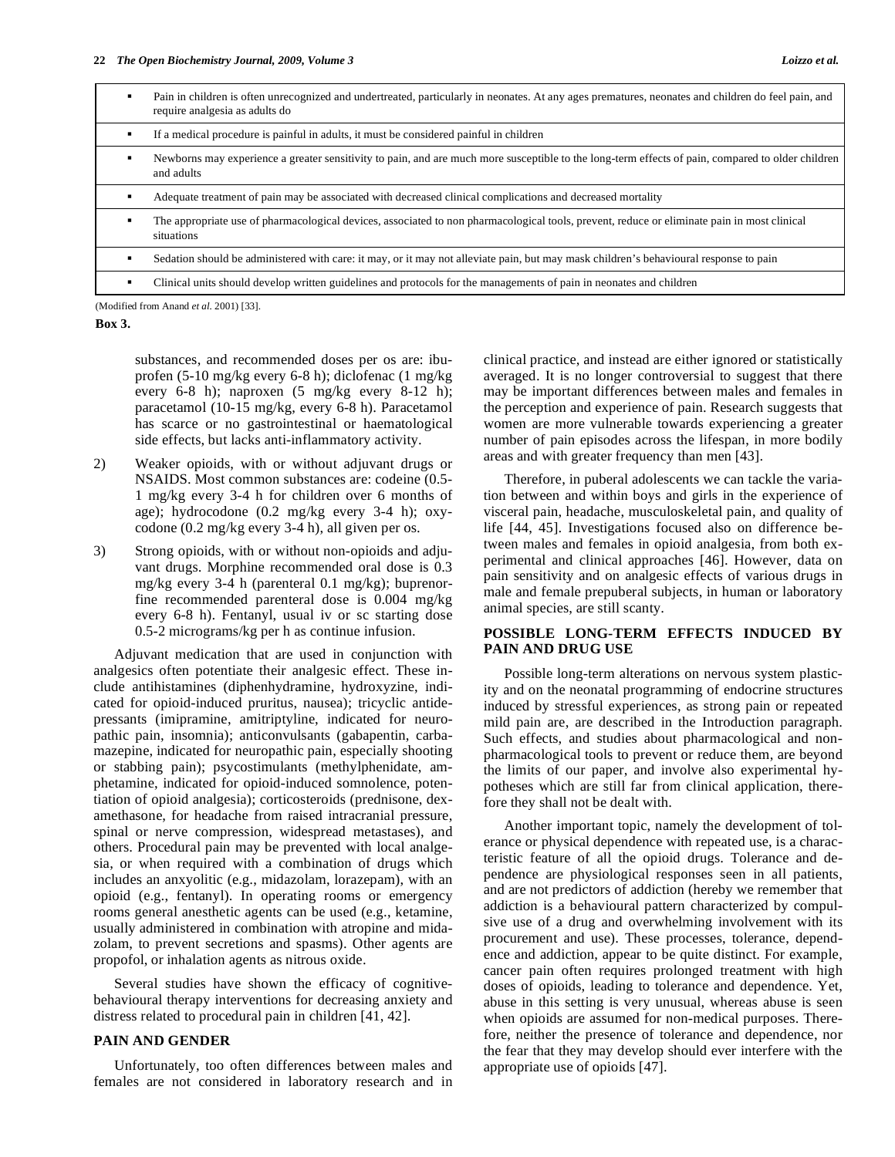| Pain in children is often unrecognized and undertreated, particularly in neonates. At any ages prematures, neonates and children do feel pain, and<br>require analgesia as adults do |
|--------------------------------------------------------------------------------------------------------------------------------------------------------------------------------------|
| If a medical procedure is painful in adults, it must be considered painful in children                                                                                               |
| Newborns may experience a greater sensitivity to pain, and are much more susceptible to the long-term effects of pain, compared to older children<br>and adults                      |
| Adequate treatment of pain may be associated with decreased clinical complications and decreased mortality                                                                           |
| The appropriate use of pharmacological devices, associated to non pharmacological tools, prevent, reduce or eliminate pain in most clinical<br>situations                            |
| Sedation should be administered with care: it may, or it may not alleviate pain, but may mask children's behavioural response to pain                                                |
| Clinical units should develop written guidelines and protocols for the managements of pain in neonates and children                                                                  |

(Modified from Anand *et al.* 2001) [33].

**Box 3.** 

substances, and recommended doses per os are: ibuprofen (5-10 mg/kg every 6-8 h); diclofenac (1 mg/kg every 6-8 h); naproxen (5 mg/kg every 8-12 h); paracetamol (10-15 mg/kg, every 6-8 h). Paracetamol has scarce or no gastrointestinal or haematological side effects, but lacks anti-inflammatory activity.

- 2) Weaker opioids, with or without adjuvant drugs or NSAIDS. Most common substances are: codeine (0.5- 1 mg/kg every 3-4 h for children over 6 months of age); hydrocodone (0.2 mg/kg every 3-4 h); oxycodone (0.2 mg/kg every 3-4 h), all given per os.
- 3) Strong opioids, with or without non-opioids and adjuvant drugs. Morphine recommended oral dose is 0.3 mg/kg every 3-4 h (parenteral 0.1 mg/kg); buprenorfine recommended parenteral dose is 0.004 mg/kg every 6-8 h). Fentanyl, usual iv or sc starting dose 0.5-2 micrograms/kg per h as continue infusion.

 Adjuvant medication that are used in conjunction with analgesics often potentiate their analgesic effect. These include antihistamines (diphenhydramine, hydroxyzine, indicated for opioid-induced pruritus, nausea); tricyclic antidepressants (imipramine, amitriptyline, indicated for neuropathic pain, insomnia); anticonvulsants (gabapentin, carbamazepine, indicated for neuropathic pain, especially shooting or stabbing pain); psycostimulants (methylphenidate, amphetamine, indicated for opioid-induced somnolence, potentiation of opioid analgesia); corticosteroids (prednisone, dexamethasone, for headache from raised intracranial pressure, spinal or nerve compression, widespread metastases), and others. Procedural pain may be prevented with local analgesia, or when required with a combination of drugs which includes an anxyolitic (e.g., midazolam, lorazepam), with an opioid (e.g., fentanyl). In operating rooms or emergency rooms general anesthetic agents can be used (e.g., ketamine, usually administered in combination with atropine and midazolam, to prevent secretions and spasms). Other agents are propofol, or inhalation agents as nitrous oxide.

 Several studies have shown the efficacy of cognitivebehavioural therapy interventions for decreasing anxiety and distress related to procedural pain in children [41, 42].

### **PAIN AND GENDER**

 Unfortunately, too often differences between males and females are not considered in laboratory research and in clinical practice, and instead are either ignored or statistically averaged. It is no longer controversial to suggest that there may be important differences between males and females in the perception and experience of pain. Research suggests that women are more vulnerable towards experiencing a greater number of pain episodes across the lifespan, in more bodily areas and with greater frequency than men [43].

 Therefore, in puberal adolescents we can tackle the variation between and within boys and girls in the experience of visceral pain, headache, musculoskeletal pain, and quality of life [44, 45]. Investigations focused also on difference between males and females in opioid analgesia, from both experimental and clinical approaches [46]. However, data on pain sensitivity and on analgesic effects of various drugs in male and female prepuberal subjects, in human or laboratory animal species, are still scanty.

# **POSSIBLE LONG-TERM EFFECTS INDUCED BY PAIN AND DRUG USE**

 Possible long-term alterations on nervous system plasticity and on the neonatal programming of endocrine structures induced by stressful experiences, as strong pain or repeated mild pain are, are described in the Introduction paragraph. Such effects, and studies about pharmacological and nonpharmacological tools to prevent or reduce them, are beyond the limits of our paper, and involve also experimental hypotheses which are still far from clinical application, therefore they shall not be dealt with.

 Another important topic, namely the development of tolerance or physical dependence with repeated use, is a characteristic feature of all the opioid drugs. Tolerance and dependence are physiological responses seen in all patients, and are not predictors of addiction (hereby we remember that addiction is a behavioural pattern characterized by compulsive use of a drug and overwhelming involvement with its procurement and use). These processes, tolerance, dependence and addiction, appear to be quite distinct. For example, cancer pain often requires prolonged treatment with high doses of opioids, leading to tolerance and dependence. Yet, abuse in this setting is very unusual, whereas abuse is seen when opioids are assumed for non-medical purposes. Therefore, neither the presence of tolerance and dependence, nor the fear that they may develop should ever interfere with the appropriate use of opioids [47].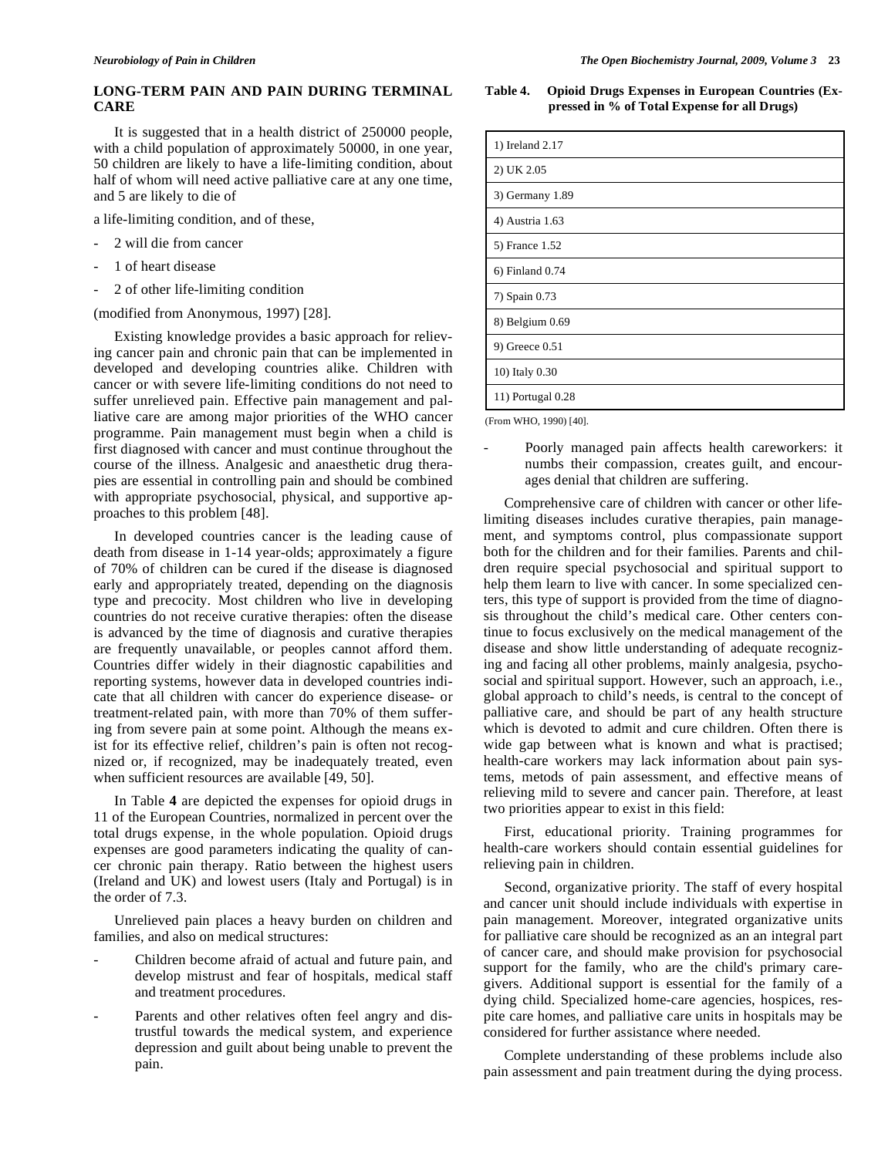### **LONG-TERM PAIN AND PAIN DURING TERMINAL CARE**

 It is suggested that in a health district of 250000 people, with a child population of approximately 50000, in one year, 50 children are likely to have a life-limiting condition, about half of whom will need active palliative care at any one time, and 5 are likely to die of

a life-limiting condition, and of these,

- 2 will die from cancer
- 1 of heart disease
- 2 of other life-limiting condition

(modified from Anonymous, 1997) [28].

 Existing knowledge provides a basic approach for relieving cancer pain and chronic pain that can be implemented in developed and developing countries alike. Children with cancer or with severe life-limiting conditions do not need to suffer unrelieved pain. Effective pain management and palliative care are among major priorities of the WHO cancer programme. Pain management must begin when a child is first diagnosed with cancer and must continue throughout the course of the illness. Analgesic and anaesthetic drug therapies are essential in controlling pain and should be combined with appropriate psychosocial, physical, and supportive approaches to this problem [48].

 In developed countries cancer is the leading cause of death from disease in 1-14 year-olds; approximately a figure of 70% of children can be cured if the disease is diagnosed early and appropriately treated, depending on the diagnosis type and precocity. Most children who live in developing countries do not receive curative therapies: often the disease is advanced by the time of diagnosis and curative therapies are frequently unavailable, or peoples cannot afford them. Countries differ widely in their diagnostic capabilities and reporting systems, however data in developed countries indicate that all children with cancer do experience disease- or treatment-related pain, with more than 70% of them suffering from severe pain at some point. Although the means exist for its effective relief, children's pain is often not recognized or, if recognized, may be inadequately treated, even when sufficient resources are available [49, 50].

 In Table **4** are depicted the expenses for opioid drugs in 11 of the European Countries, normalized in percent over the total drugs expense, in the whole population. Opioid drugs expenses are good parameters indicating the quality of cancer chronic pain therapy. Ratio between the highest users (Ireland and UK) and lowest users (Italy and Portugal) is in the order of 7.3.

 Unrelieved pain places a heavy burden on children and families, and also on medical structures:

- Children become afraid of actual and future pain, and develop mistrust and fear of hospitals, medical staff and treatment procedures.
- Parents and other relatives often feel angry and distrustful towards the medical system, and experience depression and guilt about being unable to prevent the pain.

**Table 4. Opioid Drugs Expenses in European Countries (Expressed in % of Total Expense for all Drugs)** 

| 1) Ireland 2.17   |
|-------------------|
| 2) UK 2.05        |
| 3) Germany 1.89   |
| 4) Austria 1.63   |
| 5) France 1.52    |
| 6) Finland 0.74   |
| 7) Spain 0.73     |
| 8) Belgium 0.69   |
| 9) Greece 0.51    |
| 10) Italy 0.30    |
| 11) Portugal 0.28 |

(From WHO, 1990) [40].

Poorly managed pain affects health careworkers: it numbs their compassion, creates guilt, and encourages denial that children are suffering.

 Comprehensive care of children with cancer or other lifelimiting diseases includes curative therapies, pain management, and symptoms control, plus compassionate support both for the children and for their families. Parents and children require special psychosocial and spiritual support to help them learn to live with cancer. In some specialized centers, this type of support is provided from the time of diagnosis throughout the child's medical care. Other centers continue to focus exclusively on the medical management of the disease and show little understanding of adequate recognizing and facing all other problems, mainly analgesia, psychosocial and spiritual support. However, such an approach, i.e., global approach to child's needs, is central to the concept of palliative care, and should be part of any health structure which is devoted to admit and cure children. Often there is wide gap between what is known and what is practised; health-care workers may lack information about pain systems, metods of pain assessment, and effective means of relieving mild to severe and cancer pain. Therefore, at least two priorities appear to exist in this field:

 First, educational priority. Training programmes for health-care workers should contain essential guidelines for relieving pain in children.

 Second, organizative priority. The staff of every hospital and cancer unit should include individuals with expertise in pain management. Moreover, integrated organizative units for palliative care should be recognized as an an integral part of cancer care, and should make provision for psychosocial support for the family, who are the child's primary caregivers. Additional support is essential for the family of a dying child. Specialized home-care agencies, hospices, respite care homes, and palliative care units in hospitals may be considered for further assistance where needed.

 Complete understanding of these problems include also pain assessment and pain treatment during the dying process.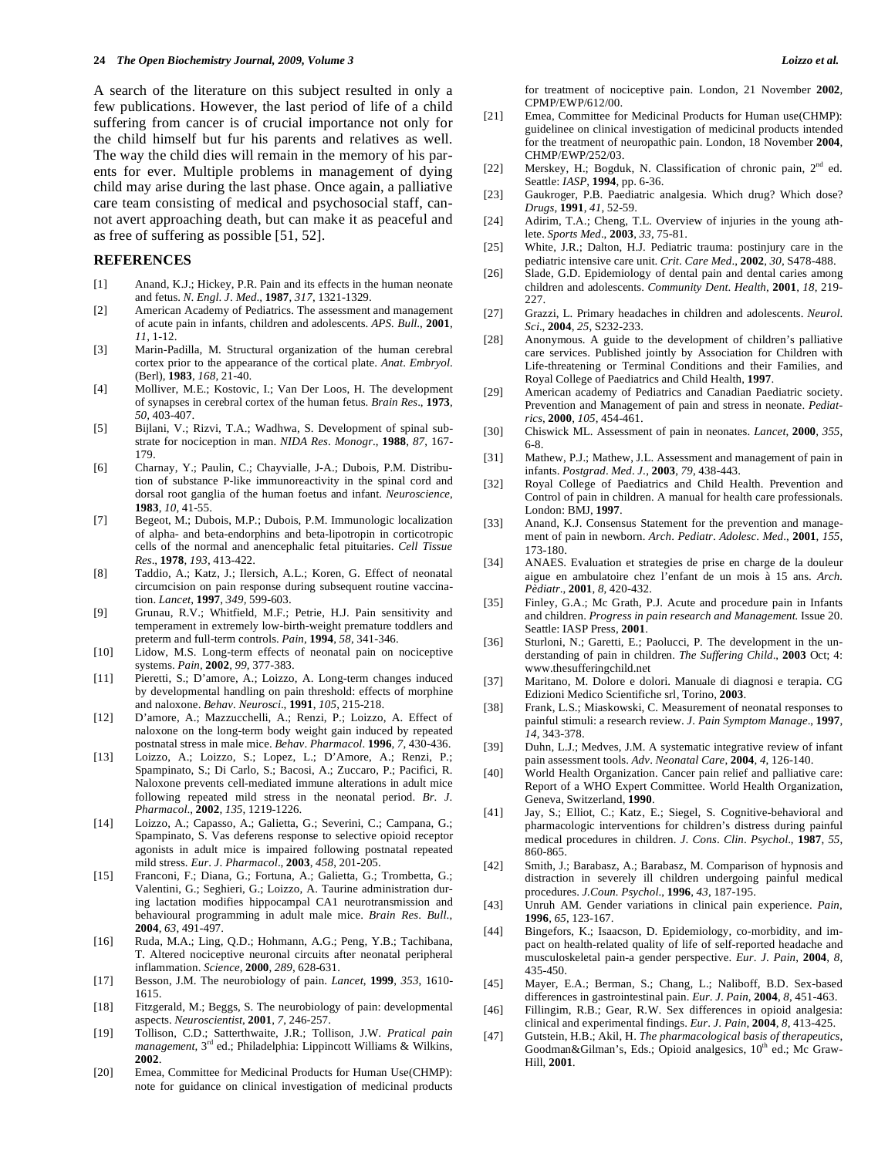A search of the literature on this subject resulted in only a few publications. However, the last period of life of a child suffering from cancer is of crucial importance not only for the child himself but fur his parents and relatives as well. The way the child dies will remain in the memory of his parents for ever. Multiple problems in management of dying child may arise during the last phase. Once again, a palliative care team consisting of medical and psychosocial staff, cannot avert approaching death, but can make it as peaceful and as free of suffering as possible [51, 52].

### **REFERENCES**

- [1] Anand, K.J.; Hickey, P.R. Pain and its effects in the human neonate and fetus. *N*. *Engl*. *J*. *Med*., **1987**, *317*, 1321-1329.
- [2] American Academy of Pediatrics. The assessment and management of acute pain in infants, children and adolescents. *APS. Bull*., **2001**, *11*, 1-12.
- [3] Marin-Padilla, M. Structural organization of the human cerebral cortex prior to the appearance of the cortical plate. *Anat*. *Embryol*. (Berl), **1983**, *168,* 21-40.
- [4] Molliver, M.E.; Kostovic, I.; Van Der Loos, H. The development of synapses in cerebral cortex of the human fetus. *Brain Res*., **1973**, *50,* 403-407.
- [5] Bijlani, V.; Rizvi, T.A.; Wadhwa, S. Development of spinal substrate for nociception in man. *NIDA Res*. *Monogr*., **1988**, *87*, 167- 179.
- [6] Charnay, Y.; Paulin, C.; Chayvialle, J-A.; Dubois, P.M. Distribution of substance P-like immunoreactivity in the spinal cord and dorsal root ganglia of the human foetus and infant. *Neuroscience*, **1983**, *10,* 41-55.
- [7] Begeot, M.; Dubois, M.P.; Dubois, P.M. Immunologic localization of alpha- and beta-endorphins and beta-lipotropin in corticotropic cells of the normal and anencephalic fetal pituitaries. *Cell Tissue Res*., **1978**, *193,* 413-422.
- [8] Taddio, A.; Katz, J.; Ilersich, A.L.; Koren, G. Effect of neonatal circumcision on pain response during subsequent routine vaccination. *Lancet*, **1997**, *349,* 599-603.
- [9] Grunau, R.V.; Whitfield, M.F.; Petrie, H.J. Pain sensitivity and temperament in extremely low-birth-weight premature toddlers and preterm and full-term controls. *Pain*, **1994**, *58*, 341-346.
- [10] Lidow, M.S. Long-term effects of neonatal pain on nociceptive systems. *Pain*, **2002**, *99*, 377-383.
- [11] Pieretti, S.; D'amore, A.; Loizzo, A. Long-term changes induced by developmental handling on pain threshold: effects of morphine and naloxone. *Behav. Neurosci*., **1991**, *105*, 215-218.
- [12] D'amore, A.; Mazzucchelli, A.; Renzi, P.; Loizzo, A. Effect of naloxone on the long-term body weight gain induced by repeated postnatal stress in male mice. *Behav*. *Pharmacol*. **1996**, *7*, 430-436.
- [13] Loizzo, A.; Loizzo, S.; Lopez, L.; D'Amore, A.; Renzi, P.; Spampinato, S.; Di Carlo, S.; Bacosi, A.; Zuccaro, P.; Pacifici, R. Naloxone prevents cell-mediated immune alterations in adult mice following repeated mild stress in the neonatal period. *Br*. *J*. *Pharmacol*., **2002**, *135*, 1219-1226.
- [14] Loizzo, A.; Capasso, A.; Galietta, G.; Severini, C.; Campana, G.; Spampinato, S. Vas deferens response to selective opioid receptor agonists in adult mice is impaired following postnatal repeated mild stress. *Eur*. *J*. *Pharmacol*., **2003**, *458*, 201-205.
- [15] Franconi, F.; Diana, G.; Fortuna, A.; Galietta, G.; Trombetta, G.; Valentini, G.; Seghieri, G.; Loizzo, A. Taurine administration during lactation modifies hippocampal CA1 neurotransmission and behavioural programming in adult male mice. *Brain Res*. *Bull*., **2004**, *63*, 491-497.
- [16] Ruda, M.A.; Ling, Q.D.; Hohmann, A.G.; Peng, Y.B.; Tachibana, T. Altered nociceptive neuronal circuits after neonatal peripheral inflammation. *Science*, **2000**, *289*, 628-631.
- [17] Besson, J.M. The neurobiology of pain. *Lancet*, **1999**, *353*, 1610- 1615.
- [18] Fitzgerald, M.; Beggs, S. The neurobiology of pain: developmental aspects. *Neuroscientist*, **2001**, *7*, 246-257.
- [19] Tollison, C.D.; Satterthwaite, J.R.; Tollison, J.W. *Pratical pain management,* 3rd ed.; Philadelphia: Lippincott Williams & Wilkins, **2002**.
- [20] Emea, Committee for Medicinal Products for Human Use(CHMP): note for guidance on clinical investigation of medicinal products

for treatment of nociceptive pain. London, 21 November **2002**, CPMP/EWP/612/00.

- [21] Emea, Committee for Medicinal Products for Human use (CHMP): guidelinee on clinical investigation of medicinal products intended for the treatment of neuropathic pain. London, 18 November **2004**, CHMP/EWP/252/03.
- [22] Merskey, H.; Bogduk, N. Classification of chronic pain,  $2<sup>nd</sup>$  ed. Seattle: *IASP*, **1994**, pp. 6-36.
- [23] Gaukroger, P.B. Paediatric analgesia. Which drug? Which dose? *Drugs*, **1991**, *41*, 52-59.
- [24] Adirim, T.A.; Cheng, T.L. Overview of injuries in the young athlete. *Sports Med*., **2003**, *33*, 75-81.
- [25] White, J.R.; Dalton, H.J. Pediatric trauma: postinjury care in the pediatric intensive care unit. *Crit*. *Care Med*., **2002**, *30,* S478-488.
- [26] Slade, G.D. Epidemiology of dental pain and dental caries among children and adolescents. *Community Dent*. *Health*, **2001**, *18*, 219- 227.
- [27] Grazzi, L. Primary headaches in children and adolescents. *Neurol*. *Sci*., **2004**, *25*, S232-233.
- [28] Anonymous. A guide to the development of children's palliative care services. Published jointly by Association for Children with Life-threatening or Terminal Conditions and their Families, and Royal College of Paediatrics and Child Health, **1997**.
- [29] American academy of Pediatrics and Canadian Paediatric society. Prevention and Management of pain and stress in neonate. *Pediatrics*, **2000**, *105*, 454-461.
- [30] Chiswick ML. Assessment of pain in neonates. *Lancet*, **2000***, 355*, 6-8.
- [31] Mathew, P.J.; Mathew, J.L. Assessment and management of pain in infants. *Postgrad*. *Med*. *J*., **2003**, *79*, 438-443.
- [32] Royal College of Paediatrics and Child Health. Prevention and Control of pain in children. A manual for health care professionals. London: BMJ, **1997**.
- [33] Anand, K.J. Consensus Statement for the prevention and management of pain in newborn. *Arch*. *Pediatr*. *Adolesc*. *Med*., **2001**, *155*, 173-180.
- [34] ANAES. Evaluation et strategies de prise en charge de la douleur aigue en ambulatoire chez l'enfant de un mois à 15 ans. *Arch. Pèdiatr*., **2001**, *8*, 420-432.
- [35] Finley, G.A.; Mc Grath, P.J. Acute and procedure pain in Infants and children. *Progress in pain research and Management.* Issue 20. Seattle: IASP Press, **2001**.
- [36] Sturloni, N.; Garetti, E.; Paolucci, P. The development in the understanding of pain in children. *The Suffering Child*., **2003** Oct; 4: www.thesufferingchild.net
- [37] Maritano, M. Dolore e dolori. Manuale di diagnosi e terapia. CG Edizioni Medico Scientifiche srl, Torino, **2003**.
- [38] Frank, L.S.; Miaskowski, C. Measurement of neonatal responses to painful stimuli: a research review. *J*. *Pain Symptom Manage*., **1997**, *14*, 343-378.
- [39] Duhn, L.J.; Medves, J.M. A systematic integrative review of infant pain assessment tools. *Adv*. *Neonatal Care*, **2004**, *4*, 126-140.
- [40] World Health Organization. Cancer pain relief and palliative care: Report of a WHO Expert Committee. World Health Organization, Geneva, Switzerland, **1990**.
- [41] Jay, S.; Elliot, C.; Katz, E.; Siegel, S. Cognitive-behavioral and pharmacologic interventions for children's distress during painful medical procedures in children. *J*. *Cons*. *Clin*. *Psychol*., **1987**, *55*, 860-865.
- [42] Smith, J.; Barabasz, A.; Barabasz, M. Comparison of hypnosis and distraction in severely ill children undergoing painful medical procedures. *J.Coun. Psychol*., **1996**, *43*, 187-195.
- [43] Unruh AM. Gender variations in clinical pain experience. *Pain*, **1996**, *65*, 123-167.
- [44] Bingefors, K.; Isaacson, D. Epidemiology, co-morbidity, and impact on health-related quality of life of self-reported headache and musculoskeletal pain-a gender perspective. *Eur*. *J*. *Pain*, **2004**, *8*, 435-450.
- [45] Mayer, E.A.; Berman, S.; Chang, L.; Naliboff, B.D. Sex-based differences in gastrointestinal pain. *Eur*. *J*. *Pain*, **2004**, *8*, 451-463.
- [46] Fillingim, R.B.; Gear, R.W. Sex differences in opioid analgesia: clinical and experimental findings. *Eur*. *J*. *Pain*, **2004**, *8*, 413-425.
- [47] Gutstein, H.B.; Akil, H. *The pharmacological basis of therapeutics*, Goodman&Gilman's, Eds.; Opioid analgesics, 10<sup>th</sup> ed.; Mc Graw-Hill, **2001***.*